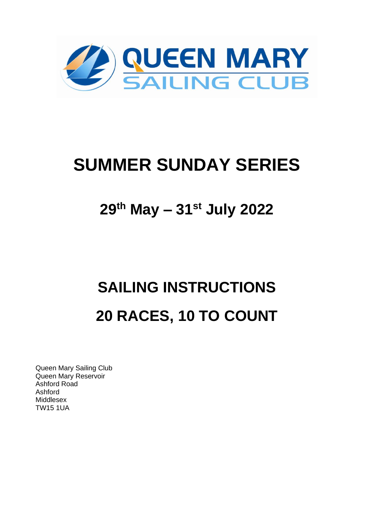

# **SUMMER SUNDAY SERIES**

## 29th May - 31st July 2022

# **SAILING INSTRUCTIONS** 20 RACES, 10 TO COUNT

Queen Mary Sailing Club Queen Mary Reservoir Ashford Road Ashford Middlesex **TW15 1UA**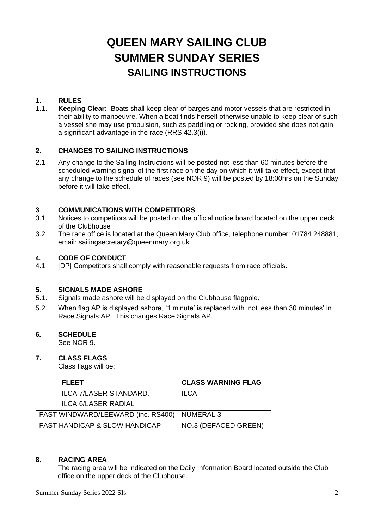## **QUEEN MARY SAILING CLUB SUMMER SUNDAY SERIES SAILING INSTRUCTIONS**

#### **1. RULES**

1.1. **Keeping Clear:** Boats shall keep clear of barges and motor vessels that are restricted in their ability to manoeuvre. When a boat finds herself otherwise unable to keep clear of such a vessel she may use propulsion, such as paddling or rocking, provided she does not gain a significant advantage in the race (RRS 42.3(i)).

#### **2. CHANGES TO SAILING INSTRUCTIONS**

2.1 Any change to the Sailing Instructions will be posted not less than 60 minutes before the scheduled warning signal of the first race on the day on which it will take effect, except that any change to the schedule of races (see NOR 9) will be posted by 18:00hrs on the Sunday before it will take effect.

## **3 COMMUNICATIONS WITH COMPETITORS**<br>**3.1** Notices to competitors will be posted on the c

- Notices to competitors will be posted on the official notice board located on the upper deck of the Clubhouse
- 3.2 The race office is located at the Queen Mary Club office, telephone number: 01784 248881, email: sailingsecretary@queenmary.org.uk.

#### **4. CODE OF CONDUCT**

4.1 [DP] Competitors shall comply with reasonable requests from race officials.

#### **5. SIGNALS MADE ASHORE**

- 5.1. Signals made ashore will be displayed on the Clubhouse flagpole.
- 5.2. When flag AP is displayed ashore, '1 minute' is replaced with 'not less than 30 minutes' in Race Signals AP. This changes Race Signals AP.

#### **6***.* **SCHEDULE**

See NOR 9.

#### **7. CLASS FLAGS**

Class flags will be:

| <b>FLEET</b>                             | <b>CLASS WARNING FLAG</b> |
|------------------------------------------|---------------------------|
| ILCA 7/LASER STANDARD,                   | <b>ILCA</b>               |
| ILCA 6/LASER RADIAL                      |                           |
| FAST WINDWARD/LEEWARD (inc. RS400)       | <b>NUMERAL 3</b>          |
| <b>FAST HANDICAP &amp; SLOW HANDICAP</b> | NO.3 (DEFACED GREEN)      |

#### **8. RACING AREA**

The racing area will be indicated on the Daily Information Board located outside the Club office on the upper deck of the Clubhouse.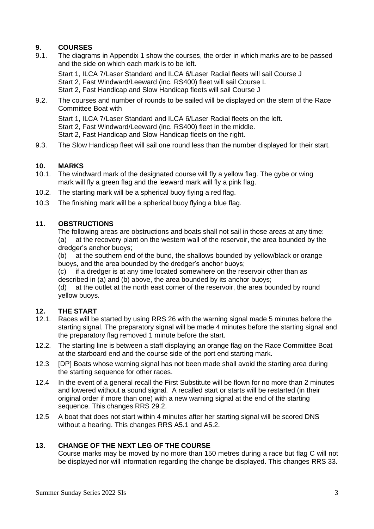#### **9. COURSES**

9.1. The diagrams in Appendix 1 show the courses, the order in which marks are to be passed and the side on which each mark is to be left.

Start 1, ILCA 7/Laser Standard and ILCA 6/Laser Radial fleets will sail Course J Start 2, Fast Windward/Leeward (inc. RS400) fleet will sail Course L Start 2, Fast Handicap and Slow Handicap fleets will sail Course J

9.2. The courses and number of rounds to be sailed will be displayed on the stern of the Race Committee Boat with

Start 1, ILCA 7/Laser Standard and ILCA 6/Laser Radial fleets on the left. Start 2, Fast Windward/Leeward (inc. RS400) fleet in the middle. Start 2, Fast Handicap and Slow Handicap fleets on the right.

9.3. The Slow Handicap fleet will sail one round less than the number displayed for their start.

#### **10. MARKS**

- 10.1. The windward mark of the designated course will fly a yellow flag. The gybe or wing mark will fly a green flag and the leeward mark will fly a pink flag.
- 10.2. The starting mark will be a spherical buoy flying a red flag.
- 10.3 The finishing mark will be a spherical buoy flying a blue flag.

#### **11. OBSTRUCTIONS**

The following areas are obstructions and boats shall not sail in those areas at any time: (a) at the recovery plant on the western wall of the reservoir, the area bounded by the dredger's anchor buoys;

(b) at the southern end of the bund, the shallows bounded by yellow/black or orange buoys, and the area bounded by the dredger's anchor buoys;

(c) if a dredger is at any time located somewhere on the reservoir other than as described in  $(a)$  and  $(b)$  above, the area bounded by its anchor buoys;

(d) at the outlet at the north east corner of the reservoir, the area bounded by round yellow buoys.

#### **12. THE START**

- 12.1. Races will be started by using RRS 26 with the warning signal made 5 minutes before the starting signal. The preparatory signal will be made 4 minutes before the starting signal and the preparatory flag removed 1 minute before the start.
- 12.2. The starting line is between a staff displaying an orange flag on the Race Committee Boat at the starboard end and the course side of the port end starting mark.
- 12.3 [DP] Boats whose warning signal has not been made shall avoid the starting area during the starting sequence for other races.
- 12.4 In the event of a general recall the First Substitute will be flown for no more than 2 minutes and lowered without a sound signal. A recalled start or starts will be restarted (in their original order if more than one) with a new warning signal at the end of the starting sequence. This changes RRS 29.2.
- 12.5 A boat that does not start within 4 minutes after her starting signal will be scored DNS without a hearing. This changes RRS A5.1 and A5.2.

#### **13. CHANGE OF THE NEXT LEG OF THE COURSE**

Course marks may be moved by no more than 150 metres during a race but flag C will not be displayed nor will information regarding the change be displayed. This changes RRS 33.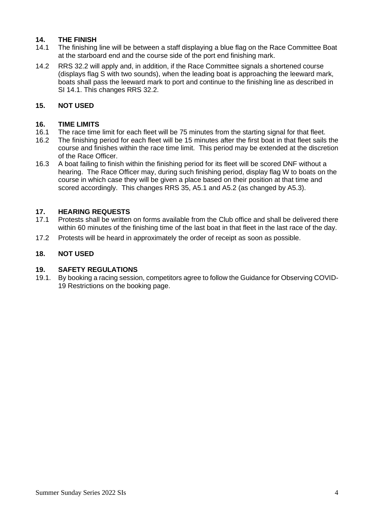#### **14. THE FINISH**

- 14.1 The finishing line will be between a staff displaying a blue flag on the Race Committee Boat at the starboard end and the course side of the port end finishing mark.
- 14.2 RRS 32.2 will apply and, in addition, if the Race Committee signals a shortened course (displays flag S with two sounds), when the leading boat is approaching the leeward mark, boats shall pass the leeward mark to port and continue to the finishing line as described in SI 14.1. This changes RRS 32.2.

#### **15. NOT USED**

#### **16. TIME LIMITS**

- 16.1 The race time limit for each fleet will be 75 minutes from the starting signal for that fleet.
- 16.2 The finishing period for each fleet will be 15 minutes after the first boat in that fleet sails the course and finishes within the race time limit. This period may be extended at the discretion of the Race Officer.
- 16.3 A boat failing to finish within the finishing period for its fleet will be scored DNF without a hearing. The Race Officer may, during such finishing period, display flag W to boats on the course in which case they will be given a place based on their position at that time and scored accordingly. This changes RRS 35, A5.1 and A5.2 (as changed by A5.3).

#### **17. HEARING REQUESTS**

- 17.1 Protests shall be written on forms available from the Club office and shall be delivered there within 60 minutes of the finishing time of the last boat in that fleet in the last race of the day.
- 17.2 Protests will be heard in approximately the order of receipt as soon as possible.

#### **18. NOT USED**

#### **19. SAFETY REGULATIONS**

19.1. By booking a racing session, competitors agree to follow the Guidance for Observing COVID-19 Restrictions on the booking page.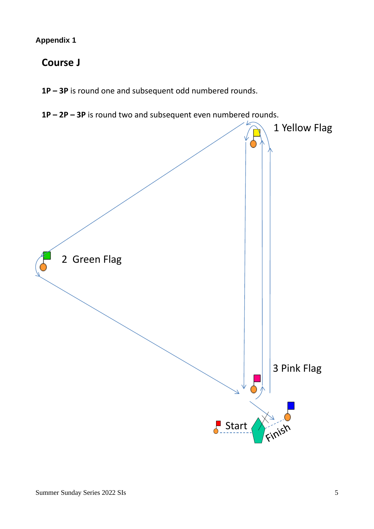#### **Appendix 1**

### **Course J**

**1P – 3P** is round one and subsequent odd numbered rounds.

**1P – 2P – 3P** is round two and subsequent even numbered rounds.